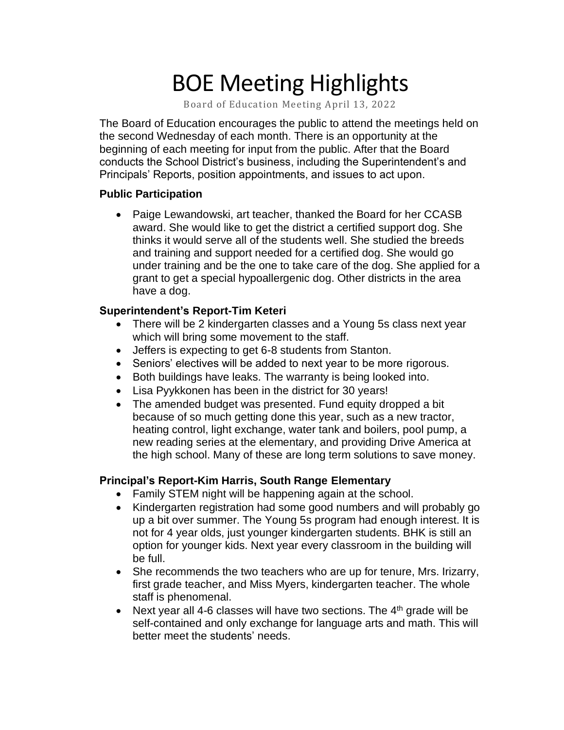# BOE Meeting Highlights

Board of Education Meeting April 13, 2022

 The Board of Education encourages the public to attend the meetings held on the second Wednesday of each month. There is an opportunity at the beginning of each meeting for input from the public. After that the Board conducts the School District's business, including the Superintendent's and Principals' Reports, position appointments, and issues to act upon.

### **Public Participation**

• Paige Lewandowski, art teacher, thanked the Board for her CCASB award. She would like to get the district a certified support dog. She thinks it would serve all of the students well. She studied the breeds and training and support needed for a certified dog. She would go under training and be the one to take care of the dog. She applied for a grant to get a special hypoallergenic dog. Other districts in the area have a dog.

### **Superintendent's Report-Tim Keteri**

- • There will be 2 kindergarten classes and a Young 5s class next year which will bring some movement to the staff.
- Jeffers is expecting to get 6-8 students from Stanton.
- Seniors' electives will be added to next year to be more rigorous.
- Both buildings have leaks. The warranty is being looked into.
- Lisa Pyykkonen has been in the district for 30 years!
- • The amended budget was presented. Fund equity dropped a bit because of so much getting done this year, such as a new tractor, heating control, light exchange, water tank and boilers, pool pump, a new reading series at the elementary, and providing Drive America at the high school. Many of these are long term solutions to save money.

### **Principal's Report-Kim Harris, South Range Elementary**

- Family STEM night will be happening again at the school.
- Kindergarten registration had some good numbers and will probably go up a bit over summer. The Young 5s program had enough interest. It is not for 4 year olds, just younger kindergarten students. BHK is still an option for younger kids. Next year every classroom in the building will be full.
- She recommends the two teachers who are up for tenure, Mrs. Irizarry, first grade teacher, and Miss Myers, kindergarten teacher. The whole staff is phenomenal.
- Next year all 4-6 classes will have two sections. The  $4<sup>th</sup>$  grade will be self-contained and only exchange for language arts and math. This will better meet the students' needs.